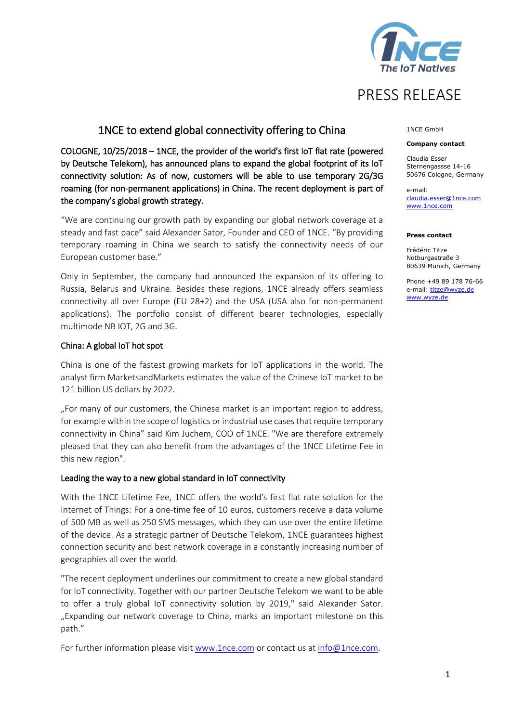

# PRESS RELEASE

# 1NCE to extend global connectivity offering to China

COLOGNE, 10/25/2018 – 1NCE, the provider of the world's first IoT flat rate (powered by Deutsche Telekom), has announced plans to expand the global footprint of its IoT connectivity solution: As of now, customers will be able to use temporary 2G/3G roaming (for non-permanent applications) in China. The recent deployment is part of the company's global growth strategy.

"We are continuing our growth path by expanding our global network coverage at a steady and fast pace" said Alexander Sator, Founder and CEO of 1NCE. "By providing temporary roaming in China we search to satisfy the connectivity needs of our European customer base."

Only in September, the company had announced the expansion of its offering to Russia, Belarus and Ukraine. Besides these regions, 1NCE already offers seamless connectivity all over Europe (EU 28+2) and the USA (USA also for non-permanent applications). The portfolio consist of different bearer technologies, especially multimode NB IOT, 2G and 3G.

# China: A global IoT hot spot

China is one of the fastest growing markets for IoT applications in the world. The analyst firm MarketsandMarkets estimates the value of the Chinese IoT market to be 121 billion US dollars by 2022.

"For many of our customers, the Chinese market is an important region to address, for example within the scope of logistics or industrial use cases that require temporary connectivity in China" said Kim Juchem, COO of 1NCE. "We are therefore extremely pleased that they can also benefit from the advantages of the 1NCE Lifetime Fee in this new region".

# Leading the way to a new global standard in IoT connectivity

With the 1NCE Lifetime Fee, 1NCE offers the world's first flat rate solution for the Internet of Things: For a one-time fee of 10 euros, customers receive a data volume of 500 MB as well as 250 SMS messages, which they can use over the entire lifetime of the device. As a strategic partner of Deutsche Telekom, 1NCE guarantees highest connection security and best network coverage in a constantly increasing number of geographies all over the world.

"The recent deployment underlines our commitment to create a new global standard for IoT connectivity. Together with our partner Deutsche Telekom we want to be able to offer a truly global IoT connectivity solution by 2019," said Alexander Sator. "Expanding our network coverage to China, marks an important milestone on this path."

For further information please visit [www.1nce.com](http://www.1nce.com/) or contact us a[t info@1nce.com.](mailto:info@1nce.com)

## 1NCE GmbH

### **Company contact**

Claudia Esser Sternengassse 14-16 50676 Cologne, Germany

e-mail: [claudia.esser@1nce.com](mailto:alexander.bufalino@1nce.com) [www.1nce.com](http://www.1nce.com/)

### **Press contact**

Frédéric Titze Notburgastraße 3 80639 Munich, Germany

Phone +49 89 178 76-66 e-mail[: titze@wyze.de](mailto:titze@wyze.de) [www.wyze.de](http://www.wyze.de/)